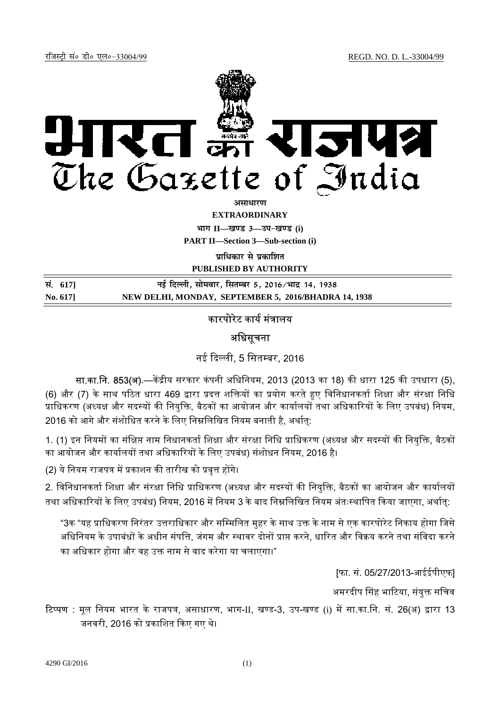

असाधार**ण** 

**EXTRAORDINARY**

 $\lim_{x \to \infty} \frac{1}{1}$  **II** and  $\lim_{x \to \infty} \frac{1}{1}$ 

**PART II—Section 3—Sub-section (i)** 

**प्राधिकार से प्रकाशित** 

**PUBLISHED BY AUTHORITY**

| सं. 617] | नई दिल्ली, सोमवार, सितम्बर 5, 2016/भाद्र 14, 1938    |
|----------|------------------------------------------------------|
| No. 617  | NEW DELHI, MONDAY, SEPTEMBER 5, 2016/BHADRA 14, 1938 |

## कारपोरेट कार्य मंत्रालय

## अधिसूचना

नई दिल्ली, 5 सितम्बर, 2016

सा.का.नि. 853(अ).—केंद्रीय सरकार कंपनी अधिनियम, 2013 (2013 का 18) की धारा 125 की उपधारा (5), (6) और (7) के साथ पठित धारा 469 द्वारा प्रदत्त शक्तियों का प्रयोग करते हुए विनिधानकर्ता शिक्षा और संरक्षा निधि प्राधिकरण (अध्यक्ष और सदस्यों की नियुक्ति, बैठकों का आयोजन और कार्यालयों तथा अधिकारियों के लिए उपबंध) नियम, 2016 को आगे और संशोधित करने के लिए निम्नलिखित नियम बनाती है, अर्थात्:

1. (1) इन नियमों का संक्षिप्त नाम निधानकर्ता शिक्षा और संरक्षा निधि प्राधिकरण (अध्यक्ष और सदस्यों की नियुक्ति, बैठकों का आयोजन और कार्यालयों तथा अधिकारियों के लिए उपबंध) संशोधन नियम, 2016 है।

(2) ये नियम राजपत्र में प्रकाशन की तारीख को प्रवृत्त होंगे।

2. विनिधानकर्ता शिक्षा और संरक्षा निधि प्राधिकरण (अध्यक्ष और सदस्यों की नियक्ति. बैठकों का आयोजन और कार्यालयों तथा अधिकारियों के लिए उपबंध) नियम, 2016 में नियम 3 के बाद निम्नलिखित नियम अंतःस्थापित किया जाएगा, अर्थात:

"3क "यह प्राधिकरण निरंतर उत्तराधिकार और सम्मिलित मुहर के साथ उक्त के नाम से एक कारपोरेट निकाय होगा जिसे अधिनियम के उपाबंधों के अधीन संपत्ति, जंगम और स्थावर दोनों प्राप्त करने, धारित और विक्रय करने तथा संविदा करने का अधिकार होगा और वह उक्त नाम से वाद करेगा या चलाएगा।"

[फा. सं. 05/27/2013-आईईपीएफ]

अमरदीप सिंह भाटिया, संयुक्त सचिव

**टिप्पण** : मूल नियम भारत के राजपत्र, असाधारण, भाग-II, खण्ड-3, उप-खण्ड (i) में सा.का.नि. सं. 26(अ) द्वारा 13 जनवरी, 2016 को प्रकाशित किए गए थे।